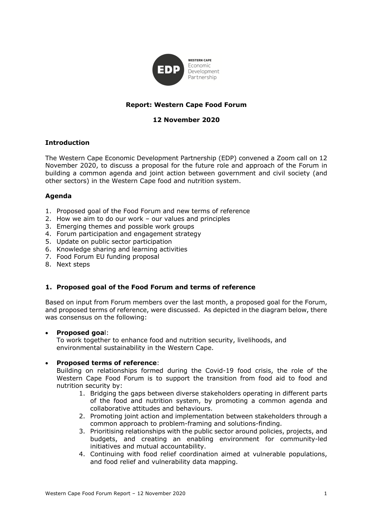

# **Report: Western Cape Food Forum**

## **12 November 2020**

### **Introduction**

The Western Cape Economic Development Partnership (EDP) convened a Zoom call on 12 November 2020, to discuss a proposal for the future role and approach of the Forum in building a common agenda and joint action between government and civil society (and other sectors) in the Western Cape food and nutrition system.

#### **Agenda**

- 1. Proposed goal of the Food Forum and new terms of reference
- 2. How we aim to do our work our values and principles
- 3. Emerging themes and possible work groups
- 4. Forum participation and engagement strategy
- 5. Update on public sector participation
- 6. Knowledge sharing and learning activities
- 7. Food Forum EU funding proposal
- 8. Next steps

#### **1. Proposed goal of the Food Forum and terms of reference**

Based on input from Forum members over the last month, a proposed goal for the Forum, and proposed terms of reference, were discussed. As depicted in the diagram below, there was consensus on the following:

#### • **Proposed goa**l:

To work together to enhance food and nutrition security, livelihoods, and environmental sustainability in the Western Cape.

#### • **Proposed terms of reference**:

Building on relationships formed during the Covid-19 food crisis, the role of the Western Cape Food Forum is to support the transition from food aid to food and nutrition security by:

- 1. Bridging the gaps between diverse stakeholders operating in different parts of the food and nutrition system, by promoting a common agenda and collaborative attitudes and behaviours.
- 2. Promoting joint action and implementation between stakeholders through a common approach to problem-framing and solutions-finding.
- 3. Prioritising relationships with the public sector around policies, projects, and budgets, and creating an enabling environment for community-led initiatives and mutual accountability.
- 4. Continuing with food relief coordination aimed at vulnerable populations, and food relief and vulnerability data mapping.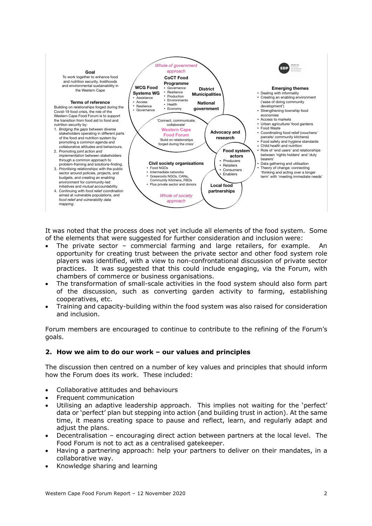

It was noted that the process does not yet include all elements of the food system. Some of the elements that were suggested for further consideration and inclusion were:

- The private sector commercial farming and large retailers, for example. An opportunity for creating trust between the private sector and other food system role players was identified, with a view to non-confrontational discussion of private sector practices. It was suggested that this could include engaging, via the Forum, with chambers of commerce or business organisations.
- The transformation of small-scale activities in the food system should also form part of the discussion, such as converting garden activity to farming, establishing cooperatives, etc.
- Training and capacity-building within the food system was also raised for consideration and inclusion.

Forum members are encouraged to continue to contribute to the refining of the Forum's goals.

## **2. How we aim to do our work – our values and principles**

The discussion then centred on a number of key values and principles that should inform how the Forum does its work. These included:

- Collaborative attitudes and behaviours
- Frequent communication
- Utilising an adaptive leadership approach. This implies not waiting for the 'perfect' data or 'perfect' plan but stepping into action (and building trust in action). At the same time, it means creating space to pause and reflect, learn, and regularly adapt and adjust the plans.
- Decentralisation encouraging direct action between partners at the local level. The Food Forum is not to act as a centralised gatekeeper.
- Having a partnering approach: help your partners to deliver on their mandates, in a collaborative way.
- Knowledge sharing and learning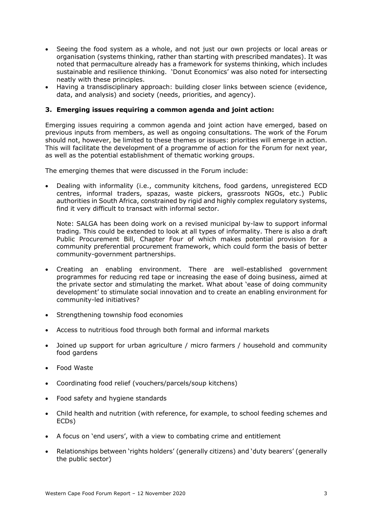- Seeing the food system as a whole, and not just our own projects or local areas or organisation (systems thinking, rather than starting with prescribed mandates). It was noted that permaculture already has a framework for systems thinking, which includes sustainable and resilience thinking. 'Donut Economics' was also noted for intersecting neatly with these principles.
- Having a transdisciplinary approach: building closer links between science (evidence, data, and analysis) and society (needs, priorities, and agency).

### **3. Emerging issues requiring a common agenda and joint action:**

Emerging issues requiring a common agenda and joint action have emerged, based on previous inputs from members, as well as ongoing consultations. The work of the Forum should not, however, be limited to these themes or issues: priorities will emerge in action. This will facilitate the development of a programme of action for the Forum for next year, as well as the potential establishment of thematic working groups.

The emerging themes that were discussed in the Forum include:

• Dealing with informality (i.e., community kitchens, food gardens, unregistered ECD centres, informal traders, spazas, waste pickers, grassroots NGOs, etc.) Public authorities in South Africa, constrained by rigid and highly complex regulatory systems, find it very difficult to transact with informal sector.

Note: SALGA has been doing work on a revised municipal by-law to support informal trading. This could be extended to look at all types of informality. There is also a draft Public Procurement Bill, Chapter Four of which makes potential provision for a community preferential procurement framework, which could form the basis of better community-government partnerships.

- Creating an enabling environment. There are well-established government programmes for reducing red tape or increasing the ease of doing business, aimed at the private sector and stimulating the market. What about 'ease of doing community development' to stimulate social innovation and to create an enabling environment for community-led initiatives?
- Strengthening township food economies
- Access to nutritious food through both formal and informal markets
- Joined up support for urban agriculture / micro farmers / household and community food gardens
- Food Waste
- Coordinating food relief (vouchers/parcels/soup kitchens)
- Food safety and hygiene standards
- Child health and nutrition (with reference, for example, to school feeding schemes and ECDs)
- A focus on 'end users', with a view to combating crime and entitlement
- Relationships between 'rights holders' (generally citizens) and 'duty bearers' (generally the public sector)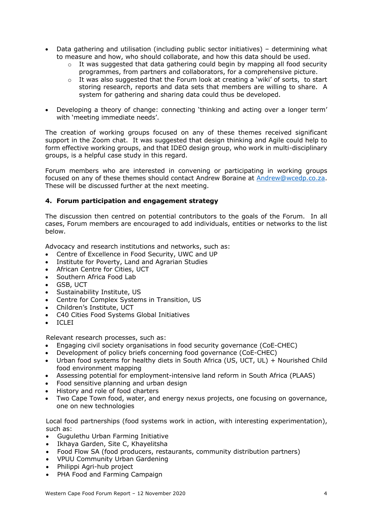- Data gathering and utilisation (including public sector initiatives) determining what to measure and how, who should collaborate, and how this data should be used.
	- $\circ$  It was suggested that data gathering could begin by mapping all food security programmes, from partners and collaborators, for a comprehensive picture.
	- $\circ$  It was also suggested that the Forum look at creating a 'wiki' of sorts, to start storing research, reports and data sets that members are willing to share. A system for gathering and sharing data could thus be developed.
- Developing a theory of change: connecting 'thinking and acting over a longer term' with 'meeting immediate needs'.

The creation of working groups focused on any of these themes received significant support in the Zoom chat. It was suggested that design thinking and Agile could help to form effective working groups, and that IDEO design group, who work in multi-disciplinary groups, is a helpful case study in this regard.

Forum members who are interested in convening or participating in working groups focused on any of these themes should contact Andrew Boraine at Andrew@wcedp.co.za. These will be discussed further at the next meeting.

## **4. Forum participation and engagement strategy**

The discussion then centred on potential contributors to the goals of the Forum. In all cases, Forum members are encouraged to add individuals, entities or networks to the list below.

Advocacy and research institutions and networks, such as:

- Centre of Excellence in Food Security, UWC and UP
- Institute for Poverty, Land and Agrarian Studies
- African Centre for Cities, UCT
- Southern Africa Food Lab
- GSB, UCT
- Sustainability Institute, US
- Centre for Complex Systems in Transition, US
- Children's Institute, UCT
- C40 Cities Food Systems Global Initiatives
- ICLEI

Relevant research processes, such as:

- Engaging civil society organisations in food security governance (CoE-CHEC)
- Development of policy briefs concerning food governance (CoE-CHEC)
- Urban food systems for healthy diets in South Africa (US, UCT, UL) + Nourished Child food environment mapping
- Assessing potential for employment-intensive land reform in South Africa (PLAAS)
- Food sensitive planning and urban design
- History and role of food charters
- Two Cape Town food, water, and energy nexus projects, one focusing on governance, one on new technologies

Local food partnerships (food systems work in action, with interesting experimentation), such as:

- Gugulethu Urban Farming Initiative
- Ikhaya Garden, Site C, Khayelitsha
- Food Flow SA (food producers, restaurants, community distribution partners)
- VPUU Community Urban Gardening
- Philippi Agri-hub project
- PHA Food and Farming Campaign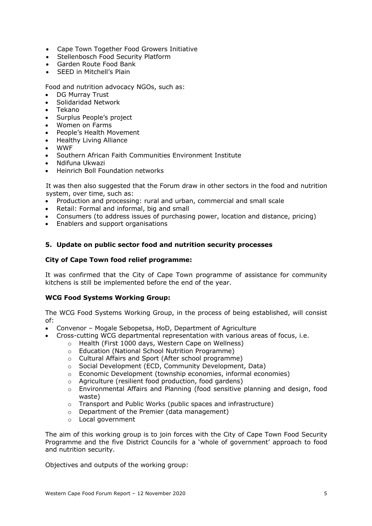- Cape Town Together Food Growers Initiative
- Stellenbosch Food Security Platform
- Garden Route Food Bank
- SEED in Mitchell's Plain

Food and nutrition advocacy NGOs, such as:

- DG Murray Trust
- Solidaridad Network
- Tekano
- Surplus People's project
- Women on Farms
- People's Health Movement
- Healthy Living Alliance
- WWF
- Southern African Faith Communities Environment Institute
- Ndifuna Ukwazi
- Heinrich Boll Foundation networks

It was then also suggested that the Forum draw in other sectors in the food and nutrition system, over time, such as:

- Production and processing: rural and urban, commercial and small scale
- Retail: Formal and informal, big and small
- Consumers (to address issues of purchasing power, location and distance, pricing)
- Enablers and support organisations

### **5. Update on public sector food and nutrition security processes**

### **City of Cape Town food relief programme:**

It was confirmed that the City of Cape Town programme of assistance for community kitchens is still be implemented before the end of the year.

#### **WCG Food Systems Working Group:**

The WCG Food Systems Working Group, in the process of being established, will consist of:

- Convenor Mogale Sebopetsa, HoD, Department of Agriculture
	- Cross-cutting WCG departmental representation with various areas of focus, i.e.
		- o Health (First 1000 days, Western Cape on Wellness)
		- o Education (National School Nutrition Programme)
		- o Cultural Affairs and Sport (After school programme)
		- o Social Development (ECD, Community Development, Data)
		- o Economic Development (township economies, informal economies)
		- o Agriculture (resilient food production, food gardens)
		- o Environmental Affairs and Planning (food sensitive planning and design, food waste)
		- o Transport and Public Works (public spaces and infrastructure)
		- o Department of the Premier (data management)
		- o Local government

The aim of this working group is to join forces with the City of Cape Town Food Security Programme and the five District Councils for a 'whole of government' approach to food and nutrition security.

Objectives and outputs of the working group: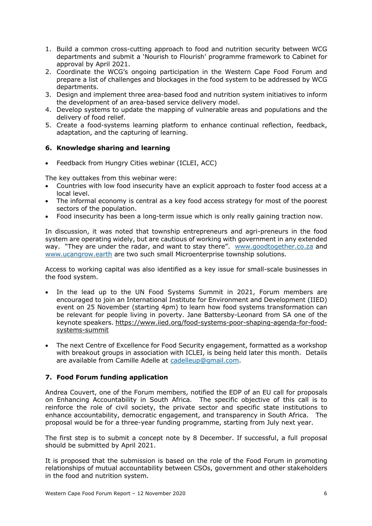- 1. Build a common cross-cutting approach to food and nutrition security between WCG departments and submit a 'Nourish to Flourish' programme framework to Cabinet for approval by April 2021.
- 2. Coordinate the WCG's ongoing participation in the Western Cape Food Forum and prepare a list of challenges and blockages in the food system to be addressed by WCG departments.
- 3. Design and implement three area-based food and nutrition system initiatives to inform the development of an area-based service delivery model.
- 4. Develop systems to update the mapping of vulnerable areas and populations and the delivery of food relief.
- 5. Create a food-systems learning platform to enhance continual reflection, feedback, adaptation, and the capturing of learning.

## **6. Knowledge sharing and learning**

• Feedback from Hungry Cities webinar (ICLEI, ACC)

The key outtakes from this webinar were:

- Countries with low food insecurity have an explicit approach to foster food access at a local level.
- The informal economy is central as a key food access strategy for most of the poorest sectors of the population.
- Food insecurity has been a long-term issue which is only really gaining traction now.

In discussion, it was noted that township entrepreneurs and agri-preneurs in the food system are operating widely, but are cautious of working with government in any extended way. "They are under the radar, and want to stay there". www.goodtogether.co.za and www.ucangrow.earth are two such small Microenterprise township solutions.

Access to working capital was also identified as a key issue for small-scale businesses in the food system.

- In the lead up to the UN Food Systems Summit in 2021, Forum members are encouraged to join an International Institute for Environment and Development (IIED) event on 25 November (starting 4pm) to learn how food systems transformation can be relevant for people living in poverty. Jane Battersby-Leonard from SA one of the keynote speakers. https://www.iied.org/food-systems-poor-shaping-agenda-for-foodsystems-summit
- The next Centre of Excellence for Food Security engagement, formatted as a workshop with breakout groups in association with ICLEI, is being held later this month. Details are available from Camille Adelle at cadelleup@gmail.com.

## **7. Food Forum funding application**

Andrea Couvert, one of the Forum members, notified the EDP of an EU call for proposals on Enhancing Accountability in South Africa. The specific objective of this call is to reinforce the role of civil society, the private sector and specific state institutions to enhance accountability, democratic engagement, and transparency in South Africa. The proposal would be for a three-year funding programme, starting from July next year.

The first step is to submit a concept note by 8 December. If successful, a full proposal should be submitted by April 2021.

It is proposed that the submission is based on the role of the Food Forum in promoting relationships of mutual accountability between CSOs, government and other stakeholders in the food and nutrition system.